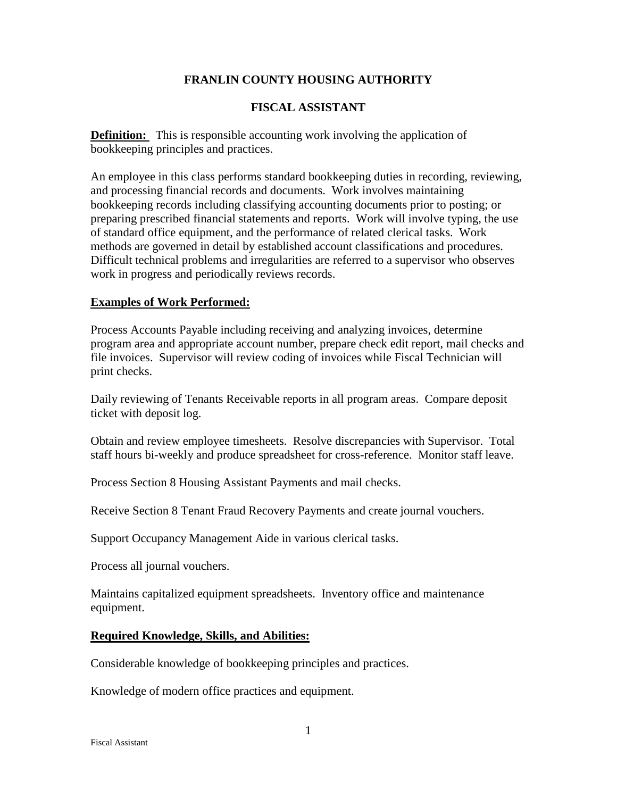## **FRANLIN COUNTY HOUSING AUTHORITY**

### **FISCAL ASSISTANT**

**Definition:** This is responsible accounting work involving the application of bookkeeping principles and practices.

An employee in this class performs standard bookkeeping duties in recording, reviewing, and processing financial records and documents. Work involves maintaining bookkeeping records including classifying accounting documents prior to posting; or preparing prescribed financial statements and reports. Work will involve typing, the use of standard office equipment, and the performance of related clerical tasks. Work methods are governed in detail by established account classifications and procedures. Difficult technical problems and irregularities are referred to a supervisor who observes work in progress and periodically reviews records.

#### **Examples of Work Performed:**

Process Accounts Payable including receiving and analyzing invoices, determine program area and appropriate account number, prepare check edit report, mail checks and file invoices. Supervisor will review coding of invoices while Fiscal Technician will print checks.

Daily reviewing of Tenants Receivable reports in all program areas. Compare deposit ticket with deposit log.

Obtain and review employee timesheets. Resolve discrepancies with Supervisor. Total staff hours bi-weekly and produce spreadsheet for cross-reference. Monitor staff leave.

Process Section 8 Housing Assistant Payments and mail checks.

Receive Section 8 Tenant Fraud Recovery Payments and create journal vouchers.

Support Occupancy Management Aide in various clerical tasks.

Process all journal vouchers.

Maintains capitalized equipment spreadsheets. Inventory office and maintenance equipment.

#### **Required Knowledge, Skills, and Abilities:**

Considerable knowledge of bookkeeping principles and practices.

Knowledge of modern office practices and equipment.